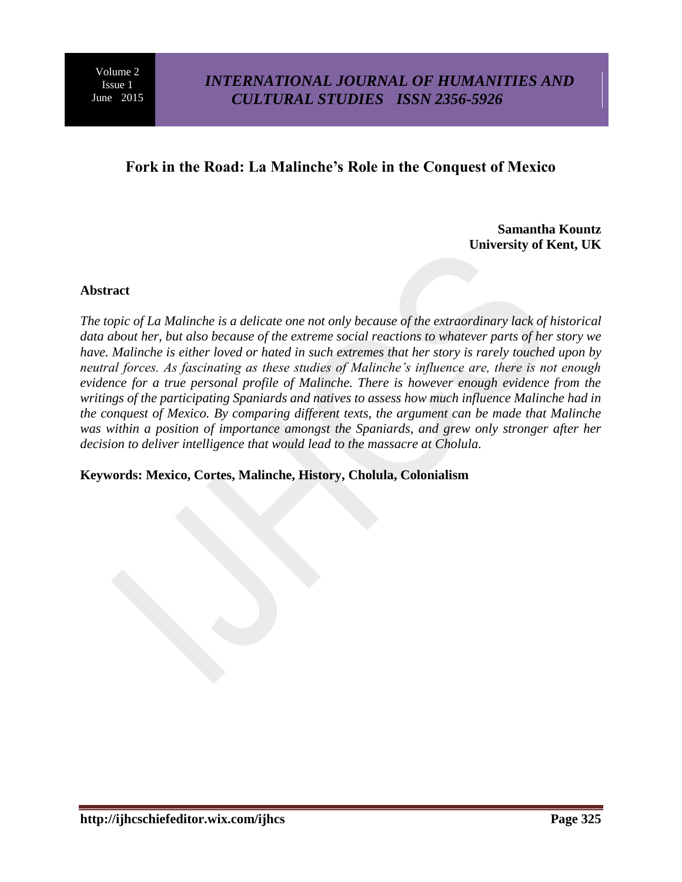## **Fork in the Road: La Malinche's Role in the Conquest of Mexico**

**Samantha Kountz University of Kent, UK**

#### **Abstract**

*The topic of La Malinche is a delicate one not only because of the extraordinary lack of historical data about her, but also because of the extreme social reactions to whatever parts of her story we have. Malinche is either loved or hated in such extremes that her story is rarely touched upon by neutral forces. As fascinating as these studies of Malinche's influence are, there is not enough evidence for a true personal profile of Malinche. There is however enough evidence from the writings of the participating Spaniards and natives to assess how much influence Malinche had in the conquest of Mexico. By comparing different texts, the argument can be made that Malinche*  was within a position of importance amongst the Spaniards, and grew only stronger after her *decision to deliver intelligence that would lead to the massacre at Cholula.*

#### **Keywords: Mexico, Cortes, Malinche, History, Cholula, Colonialism**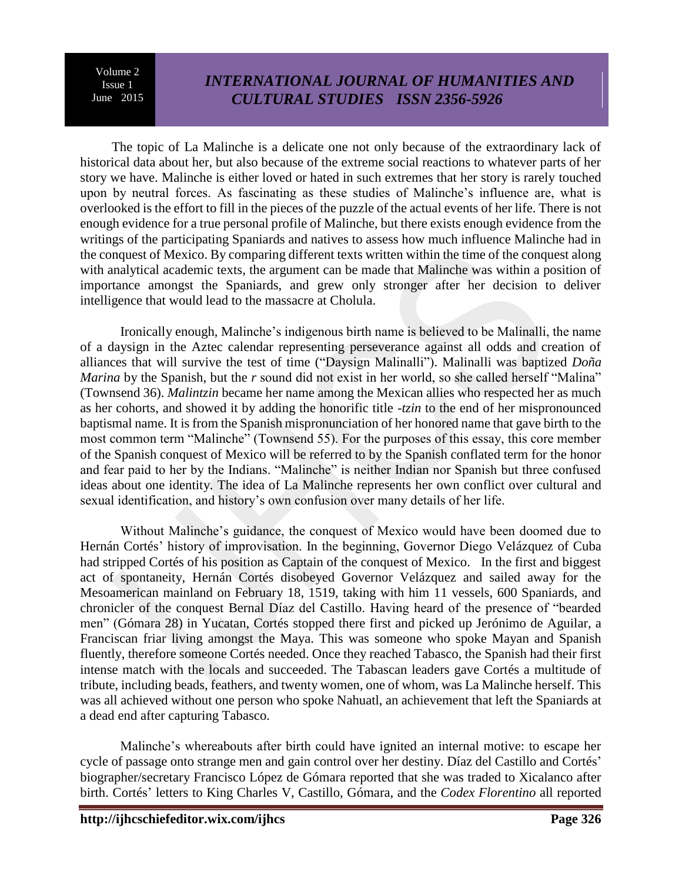# *INTERNATIONAL JOURNAL OF HUMANITIES AND CULTURAL STUDIES ISSN 2356-5926*

The topic of La Malinche is a delicate one not only because of the extraordinary lack of historical data about her, but also because of the extreme social reactions to whatever parts of her story we have. Malinche is either loved or hated in such extremes that her story is rarely touched upon by neutral forces. As fascinating as these studies of Malinche's influence are, what is overlooked is the effort to fill in the pieces of the puzzle of the actual events of her life. There is not enough evidence for a true personal profile of Malinche, but there exists enough evidence from the writings of the participating Spaniards and natives to assess how much influence Malinche had in the conquest of Mexico. By comparing different texts written within the time of the conquest along with analytical academic texts, the argument can be made that Malinche was within a position of importance amongst the Spaniards, and grew only stronger after her decision to deliver intelligence that would lead to the massacre at Cholula.

Ironically enough, Malinche's indigenous birth name is believed to be Malinalli, the name of a daysign in the Aztec calendar representing perseverance against all odds and creation of alliances that will survive the test of time ("Daysign Malinalli"). Malinalli was baptized *Doña Marina* by the Spanish, but the *r* sound did not exist in her world, so she called herself "Malina" (Townsend 36). *Malintzin* became her name among the Mexican allies who respected her as much as her cohorts, and showed it by adding the honorific title *-tzin* to the end of her mispronounced baptismal name. It is from the Spanish mispronunciation of her honored name that gave birth to the most common term "Malinche" (Townsend 55). For the purposes of this essay, this core member of the Spanish conquest of Mexico will be referred to by the Spanish conflated term for the honor and fear paid to her by the Indians. "Malinche" is neither Indian nor Spanish but three confused ideas about one identity. The idea of La Malinche represents her own conflict over cultural and sexual identification, and history's own confusion over many details of her life.

Without Malinche's guidance, the conquest of Mexico would have been doomed due to Hernán Cortés' history of improvisation. In the beginning, Governor Diego Velázquez of Cuba had stripped Cortés of his position as Captain of the conquest of Mexico. In the first and biggest act of spontaneity, Hernán Cortés disobeyed Governor Velázquez and sailed away for the Mesoamerican mainland on February 18, 1519, taking with him 11 vessels, 600 Spaniards, and chronicler of the conquest Bernal Díaz del Castillo. Having heard of the presence of "bearded men" (Gómara 28) in Yucatan, Cortés stopped there first and picked up Jerónimo de Aguilar, a Franciscan friar living amongst the Maya. This was someone who spoke Mayan and Spanish fluently, therefore someone Cortés needed. Once they reached Tabasco, the Spanish had their first intense match with the locals and succeeded. The Tabascan leaders gave Cortés a multitude of tribute, including beads, feathers, and twenty women, one of whom, was La Malinche herself. This was all achieved without one person who spoke Nahuatl, an achievement that left the Spaniards at a dead end after capturing Tabasco.

Malinche's whereabouts after birth could have ignited an internal motive: to escape her cycle of passage onto strange men and gain control over her destiny. Díaz del Castillo and Cortés' biographer/secretary Francisco López de Gómara reported that she was traded to Xicalanco after birth. Cortés' letters to King Charles V, Castillo, Gómara, and the *Codex Florentino* all reported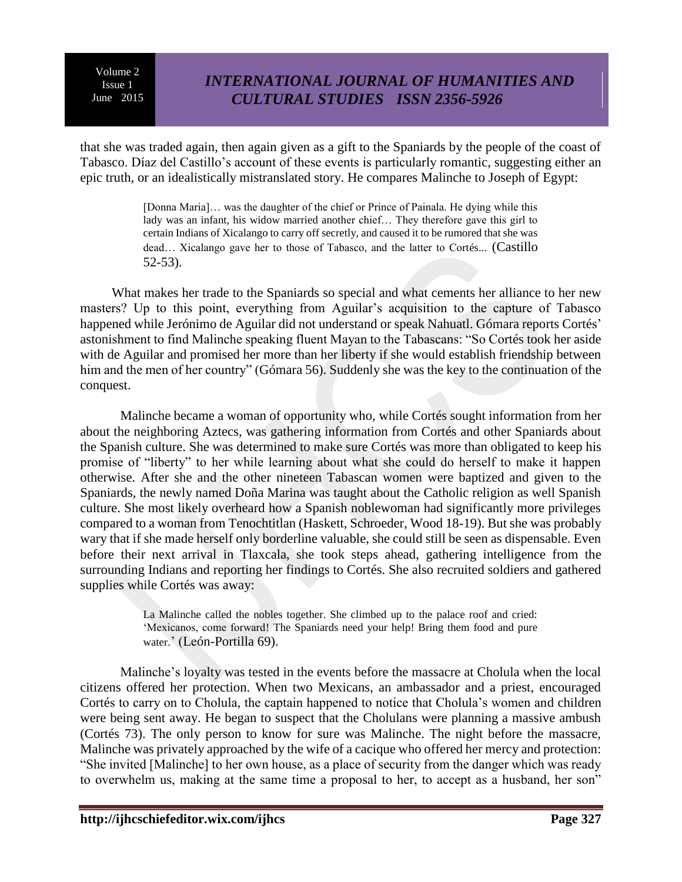# *INTERNATIONAL JOURNAL OF HUMANITIES AND CULTURAL STUDIES ISSN 2356-5926*

that she was traded again, then again given as a gift to the Spaniards by the people of the coast of Tabasco. Díaz del Castillo's account of these events is particularly romantic, suggesting either an epic truth, or an idealistically mistranslated story. He compares Malinche to Joseph of Egypt:

> [Donna Maria]... was the daughter of the chief or Prince of Painala. He dying while this lady was an infant, his widow married another chief… They therefore gave this girl to certain Indians of Xicalango to carry off secretly, and caused it to be rumored that she was dead… Xicalango gave her to those of Tabasco, and the latter to Cortés... (Castillo 52-53).

What makes her trade to the Spaniards so special and what cements her alliance to her new masters? Up to this point, everything from Aguilar's acquisition to the capture of Tabasco happened while Jerónimo de Aguilar did not understand or speak Nahuatl. Gómara reports Cortés' astonishment to find Malinche speaking fluent Mayan to the Tabascans: "So Cortés took her aside with de Aguilar and promised her more than her liberty if she would establish friendship between him and the men of her country" (Gómara 56). Suddenly she was the key to the continuation of the conquest.

Malinche became a woman of opportunity who, while Cortés sought information from her about the neighboring Aztecs, was gathering information from Cortés and other Spaniards about the Spanish culture. She was determined to make sure Cortés was more than obligated to keep his promise of "liberty" to her while learning about what she could do herself to make it happen otherwise. After she and the other nineteen Tabascan women were baptized and given to the Spaniards, the newly named Doña Marina was taught about the Catholic religion as well Spanish culture. She most likely overheard how a Spanish noblewoman had significantly more privileges compared to a woman from Tenochtitlan (Haskett, Schroeder, Wood 18-19). But she was probably wary that if she made herself only borderline valuable, she could still be seen as dispensable. Even before their next arrival in Tlaxcala, she took steps ahead, gathering intelligence from the surrounding Indians and reporting her findings to Cortés. She also recruited soldiers and gathered supplies while Cortés was away:

> La Malinche called the nobles together. She climbed up to the palace roof and cried: 'Mexicanos, come forward! The Spaniards need your help! Bring them food and pure water.' (León-Portilla 69).

Malinche's loyalty was tested in the events before the massacre at Cholula when the local citizens offered her protection. When two Mexicans, an ambassador and a priest, encouraged Cortés to carry on to Cholula, the captain happened to notice that Cholula's women and children were being sent away. He began to suspect that the Cholulans were planning a massive ambush (Cortés 73). The only person to know for sure was Malinche. The night before the massacre, Malinche was privately approached by the wife of a cacique who offered her mercy and protection: "She invited [Malinche] to her own house, as a place of security from the danger which was ready to overwhelm us, making at the same time a proposal to her, to accept as a husband, her son"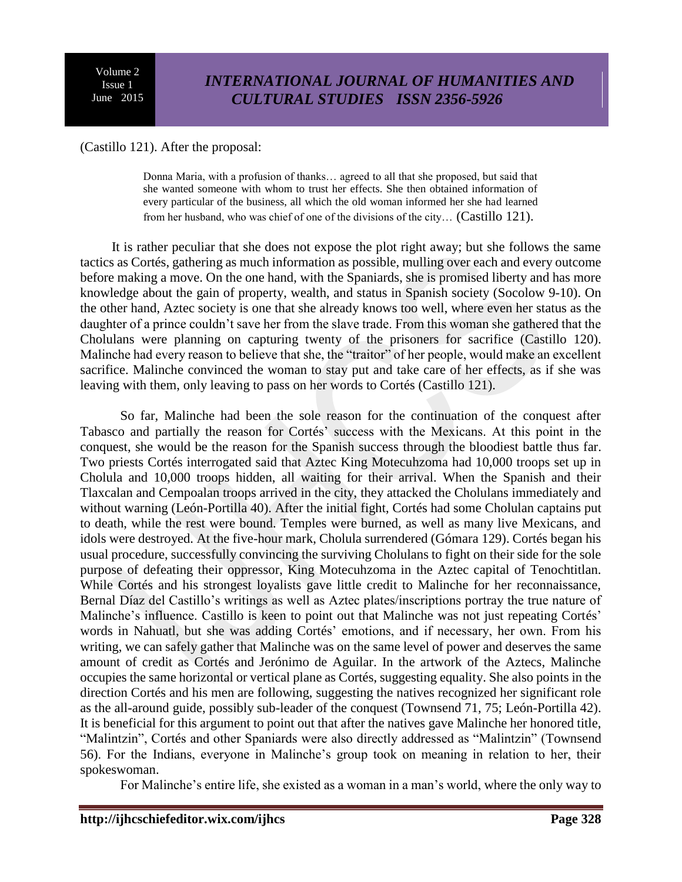(Castillo 121). After the proposal:

Donna Maria, with a profusion of thanks… agreed to all that she proposed, but said that she wanted someone with whom to trust her effects. She then obtained information of every particular of the business, all which the old woman informed her she had learned from her husband, who was chief of one of the divisions of the city… (Castillo 121).

It is rather peculiar that she does not expose the plot right away; but she follows the same tactics as Cortés, gathering as much information as possible, mulling over each and every outcome before making a move. On the one hand, with the Spaniards, she is promised liberty and has more knowledge about the gain of property, wealth, and status in Spanish society (Socolow 9-10). On the other hand, Aztec society is one that she already knows too well, where even her status as the daughter of a prince couldn't save her from the slave trade. From this woman she gathered that the Cholulans were planning on capturing twenty of the prisoners for sacrifice (Castillo 120). Malinche had every reason to believe that she, the "traitor" of her people, would make an excellent sacrifice. Malinche convinced the woman to stay put and take care of her effects, as if she was leaving with them, only leaving to pass on her words to Cortés (Castillo 121).

So far, Malinche had been the sole reason for the continuation of the conquest after Tabasco and partially the reason for Cortés' success with the Mexicans. At this point in the conquest, she would be the reason for the Spanish success through the bloodiest battle thus far. Two priests Cortés interrogated said that Aztec King Motecuhzoma had 10,000 troops set up in Cholula and 10,000 troops hidden, all waiting for their arrival. When the Spanish and their Tlaxcalan and Cempoalan troops arrived in the city, they attacked the Cholulans immediately and without warning (León-Portilla 40). After the initial fight, Cortés had some Cholulan captains put to death, while the rest were bound. Temples were burned, as well as many live Mexicans, and idols were destroyed. At the five-hour mark, Cholula surrendered (Gómara 129). Cortés began his usual procedure, successfully convincing the surviving Cholulans to fight on their side for the sole purpose of defeating their oppressor, King Motecuhzoma in the Aztec capital of Tenochtitlan. While Cortés and his strongest loyalists gave little credit to Malinche for her reconnaissance, Bernal Díaz del Castillo's writings as well as Aztec plates/inscriptions portray the true nature of Malinche's influence. Castillo is keen to point out that Malinche was not just repeating Cortés' words in Nahuatl, but she was adding Cortés' emotions, and if necessary, her own. From his writing, we can safely gather that Malinche was on the same level of power and deserves the same amount of credit as Cortés and Jerónimo de Aguilar. In the artwork of the Aztecs, Malinche occupies the same horizontal or vertical plane as Cortés, suggesting equality. She also points in the direction Cortés and his men are following, suggesting the natives recognized her significant role as the all-around guide, possibly sub-leader of the conquest (Townsend 71, 75; León-Portilla 42). It is beneficial for this argument to point out that after the natives gave Malinche her honored title, "Malintzin", Cortés and other Spaniards were also directly addressed as "Malintzin" (Townsend 56). For the Indians, everyone in Malinche's group took on meaning in relation to her, their spokeswoman.

For Malinche's entire life, she existed as a woman in a man's world, where the only way to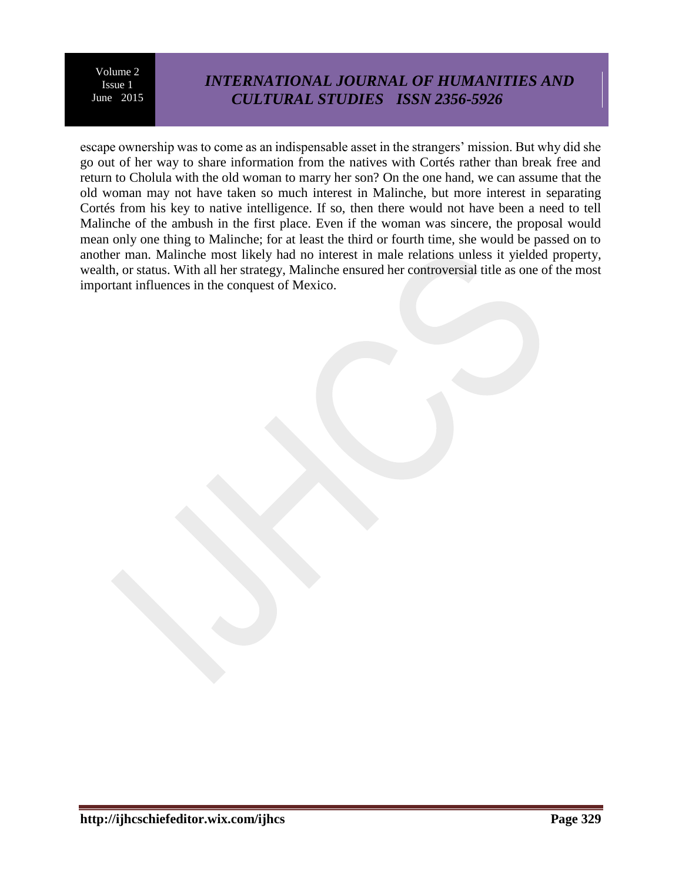# *INTERNATIONAL JOURNAL OF HUMANITIES AND CULTURAL STUDIES ISSN 2356-5926*

escape ownership was to come as an indispensable asset in the strangers' mission. But why did she go out of her way to share information from the natives with Cortés rather than break free and return to Cholula with the old woman to marry her son? On the one hand, we can assume that the old woman may not have taken so much interest in Malinche, but more interest in separating Cortés from his key to native intelligence. If so, then there would not have been a need to tell Malinche of the ambush in the first place. Even if the woman was sincere, the proposal would mean only one thing to Malinche; for at least the third or fourth time, she would be passed on to another man. Malinche most likely had no interest in male relations unless it yielded property, wealth, or status. With all her strategy, Malinche ensured her controversial title as one of the most important influences in the conquest of Mexico.